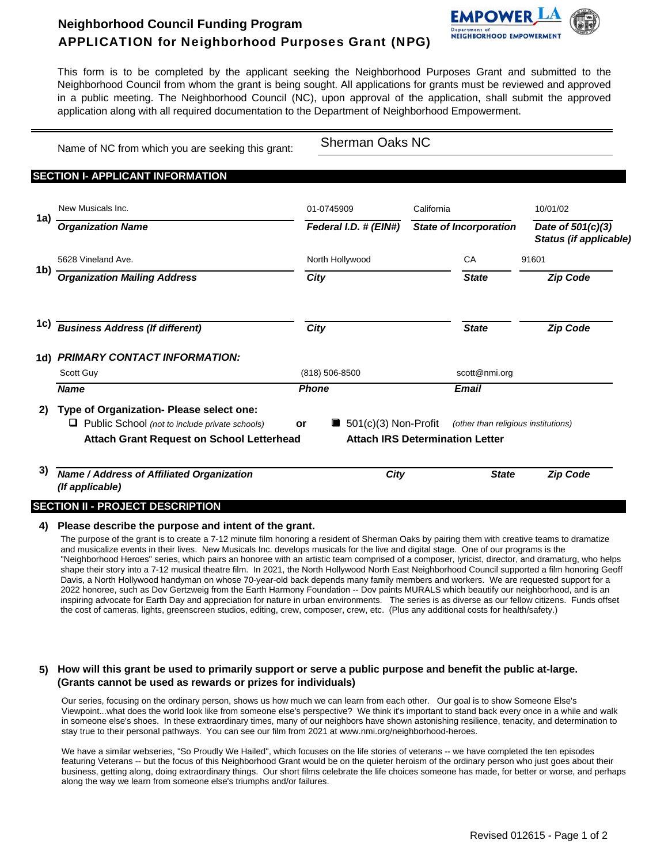# **Neighborhood Council Funding Program** APPLICATION for Neighborhood Purposes Grant (NPG)



This form is to be completed by the applicant seeking the Neighborhood Purposes Grant and submitted to the Neighborhood Council from whom the grant is being sought. All applications for grants must be reviewed and approved in a public meeting. The Neighborhood Council (NC), upon approval of the application, shall submit the approved application along with all required documentation to the Department of Neighborhood Empowerment.

Name of NC from which you are seeking this grant:

Sherman Oaks NC

## **SECTION I- APPLICANT INFORMATION**

|     | New Musicals Inc.                                                                                                                                   | 01-0745909     |                                                                               | California |                                     | 10/01/02                                    |  |
|-----|-----------------------------------------------------------------------------------------------------------------------------------------------------|----------------|-------------------------------------------------------------------------------|------------|-------------------------------------|---------------------------------------------|--|
| 1a) | <b>Organization Name</b>                                                                                                                            |                | Federal I.D. # (EIN#)                                                         |            | <b>State of Incorporation</b>       | Date of 501(c)(3)<br>Status (if applicable) |  |
|     | 5628 Vineland Ave.                                                                                                                                  |                | North Hollywood                                                               |            | CA                                  | 91601                                       |  |
| 1b) | <b>Organization Mailing Address</b>                                                                                                                 |                | City                                                                          |            | <b>State</b>                        | <b>Zip Code</b>                             |  |
| 1C) | <b>Business Address (If different)</b>                                                                                                              | City           |                                                                               |            | <b>State</b>                        | <b>Zip Code</b>                             |  |
| 1d) | <b>PRIMARY CONTACT INFORMATION:</b>                                                                                                                 |                |                                                                               |            |                                     |                                             |  |
|     | Scott Guy                                                                                                                                           | (818) 506-8500 |                                                                               |            | scott@nmi.org                       |                                             |  |
|     | <b>Name</b>                                                                                                                                         | <b>Phone</b>   |                                                                               |            | <b>Email</b>                        |                                             |  |
| 2)  | Type of Organization- Please select one:<br>Public School (not to include private schools)<br>O<br><b>Attach Grant Request on School Letterhead</b> | or             | $\blacksquare$ 501(c)(3) Non-Profit<br><b>Attach IRS Determination Letter</b> |            | (other than religious institutions) |                                             |  |
| 3)  | Name / Address of Affiliated Organization<br>(If applicable)                                                                                        |                | City                                                                          |            | <b>State</b>                        | <b>Zip Code</b>                             |  |

#### **4) Please describe the purpose and intent of the grant.**

The purpose of the grant is to create a 7-12 minute film honoring a resident of Sherman Oaks by pairing them with creative teams to dramatize and musicalize events in their lives. New Musicals Inc. develops musicals for the live and digital stage. One of our programs is the "Neighborhood Heroes" series, which pairs an honoree with an artistic team comprised of a composer, lyricist, director, and dramaturg, who helps shape their story into a 7-12 musical theatre film. In 2021, the North Hollywood North East Neighborhood Council supported a film honoring Geoff Davis, a North Hollywood handyman on whose 70-year-old back depends many family members and workers. We are requested support for a 2022 honoree, such as Dov Gertzweig from the Earth Harmony Foundation -- Dov paints MURALS which beautify our neighborhood, and is an inspiring advocate for Earth Day and appreciation for nature in urban environments. The series is as diverse as our fellow citizens. Funds offset the cost of cameras, lights, greenscreen studios, editing, crew, composer, crew, etc. (Plus any additional costs for health/safety.)

### **5) How will this grant be used to primarily support or serve a public purpose and benefit the public at-large. (Grants cannot be used as rewards or prizes for individuals)**

Our series, focusing on the ordinary person, shows us how much we can learn from each other. Our goal is to show Someone Else's Viewpoint...what does the world look like from someone else's perspective? We think it's important to stand back every once in a while and walk in someone else's shoes. In these extraordinary times, many of our neighbors have shown astonishing resilience, tenacity, and determination to stay true to their personal pathways. You can see our film from 2021 at www.nmi.org/neighborhood-heroes.

We have a similar webseries, "So Proudly We Hailed", which focuses on the life stories of veterans -- we have completed the ten episodes featuring Veterans -- but the focus of this Neighborhood Grant would be on the quieter heroism of the ordinary person who just goes about their business, getting along, doing extraordinary things. Our short films celebrate the life choices someone has made, for better or worse, and perhaps along the way we learn from someone else's triumphs and/or failures.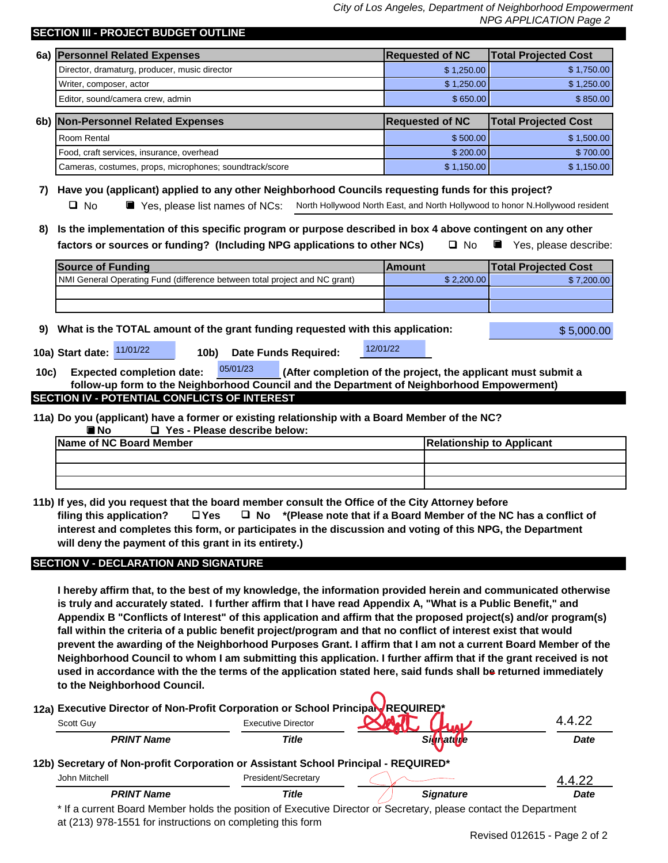*City of Los Angeles, Department of Neighborhood Empowerment* 

|      |                                                                                                                                                                                                                                   |                        | NPG APPLICATION Page 2                                                        |  |  |  |
|------|-----------------------------------------------------------------------------------------------------------------------------------------------------------------------------------------------------------------------------------|------------------------|-------------------------------------------------------------------------------|--|--|--|
|      | SECTION III - PROJECT BUDGET OUTLINE                                                                                                                                                                                              |                        |                                                                               |  |  |  |
|      | 6a) Personnel Related Expenses                                                                                                                                                                                                    | <b>Requested of NC</b> | <b>Total Projected Cost</b>                                                   |  |  |  |
|      | Director, dramaturg, producer, music director                                                                                                                                                                                     | \$1,250.00             | \$1,750.00                                                                    |  |  |  |
|      | Writer, composer, actor                                                                                                                                                                                                           | \$1,250.00             | \$1,250.00                                                                    |  |  |  |
|      | Editor, sound/camera crew, admin                                                                                                                                                                                                  | \$650.00               | \$850.00                                                                      |  |  |  |
|      | 6b) Non-Personnel Related Expenses                                                                                                                                                                                                | <b>Requested of NC</b> | <b>Total Projected Cost</b>                                                   |  |  |  |
|      | Room Rental                                                                                                                                                                                                                       | \$500.00               | \$1,500.00                                                                    |  |  |  |
|      | Food, craft services, insurance, overhead                                                                                                                                                                                         | \$200.00               | \$700.00                                                                      |  |  |  |
|      | Cameras, costumes, props, microphones; soundtrack/score                                                                                                                                                                           | \$1,150.00             | \$1,150.00                                                                    |  |  |  |
|      | Have you (applicant) applied to any other Neighborhood Councils requesting funds for this project?                                                                                                                                |                        |                                                                               |  |  |  |
| 7)   | $\Box$ No<br>Yes, please list names of NCs:                                                                                                                                                                                       |                        | North Hollywood North East, and North Hollywood to honor N.Hollywood resident |  |  |  |
|      |                                                                                                                                                                                                                                   |                        |                                                                               |  |  |  |
| 8)   | Is the implementation of this specific program or purpose described in box 4 above contingent on any other                                                                                                                        |                        |                                                                               |  |  |  |
|      | factors or sources or funding? (Including NPG applications to other NCs)<br>$\Box$ No<br>Yes, please describe:                                                                                                                    |                        |                                                                               |  |  |  |
|      | <b>Source of Funding</b>                                                                                                                                                                                                          | <b>Amount</b>          | <b>Total Projected Cost</b>                                                   |  |  |  |
|      | NMI General Operating Fund (difference between total project and NC grant)                                                                                                                                                        | \$2,200.00             | \$7,200.00                                                                    |  |  |  |
|      |                                                                                                                                                                                                                                   |                        |                                                                               |  |  |  |
|      |                                                                                                                                                                                                                                   |                        |                                                                               |  |  |  |
| 9)   | What is the TOTAL amount of the grant funding requested with this application:<br>11/01/22<br>10a) Start date:<br><b>Date Funds Required:</b><br>10b)                                                                             | 12/01/22               | \$5,000.00                                                                    |  |  |  |
|      |                                                                                                                                                                                                                                   |                        |                                                                               |  |  |  |
|      |                                                                                                                                                                                                                                   |                        |                                                                               |  |  |  |
|      | 05/01/23<br><b>Expected completion date:</b>                                                                                                                                                                                      |                        | (After completion of the project, the applicant must submit a                 |  |  |  |
|      | follow-up form to the Neighborhood Council and the Department of Neighborhood Empowerment)                                                                                                                                        |                        |                                                                               |  |  |  |
|      | <b>SECTION IV - POTENTIAL CONFLICTS OF INTEREST</b>                                                                                                                                                                               |                        |                                                                               |  |  |  |
|      | 11a) Do you (applicant) have a former or existing relationship with a Board Member of the NC?                                                                                                                                     |                        |                                                                               |  |  |  |
|      | $\blacksquare$ No<br>$\Box$ Yes - Please describe below:                                                                                                                                                                          |                        |                                                                               |  |  |  |
|      | <b>Name of NC Board Member</b>                                                                                                                                                                                                    |                        | <b>Relationship to Applicant</b>                                              |  |  |  |
|      |                                                                                                                                                                                                                                   |                        |                                                                               |  |  |  |
|      |                                                                                                                                                                                                                                   |                        |                                                                               |  |  |  |
|      |                                                                                                                                                                                                                                   |                        |                                                                               |  |  |  |
|      | 11b) If yes, did you request that the board member consult the Office of the City Attorney before                                                                                                                                 |                        |                                                                               |  |  |  |
|      | $\Box$ Yes $\Box$ No *(Please note that if a Board Member of the NC has a conflict of<br>filing this application?                                                                                                                 |                        |                                                                               |  |  |  |
|      | interest and completes this form, or participates in the discussion and voting of this NPG, the Department                                                                                                                        |                        |                                                                               |  |  |  |
|      | will deny the payment of this grant in its entirety.)                                                                                                                                                                             |                        |                                                                               |  |  |  |
| 10c) | <b>SECTION V - DECLARATION AND SIGNATURE</b>                                                                                                                                                                                      |                        |                                                                               |  |  |  |
|      |                                                                                                                                                                                                                                   |                        |                                                                               |  |  |  |
|      | I hereby affirm that, to the best of my knowledge, the information provided herein and communicated otherwise                                                                                                                     |                        |                                                                               |  |  |  |
|      | is truly and accurately stated. I further affirm that I have read Appendix A, "What is a Public Benefit," and<br>Appendix B "Conflicts of Interest" of this application and affirm that the proposed project(s) and/or program(s) |                        |                                                                               |  |  |  |

**prevent the awarding of the Neighborhood Purposes Grant. I affirm that I am not a current Board Member of the Neighborhood Council to whom I am submitting this application. I further affirm that if the grant received is not used in accordance with the the terms of the application stated here, said funds shall be returned immediately to the Neighborhood Council.**

**12a)** Executive Director of Non-Profit Corporation or School Principal REQUIRED **12b) Secretary of Non-profit Corporation or Assistant School Principal - REQUIRED\*** *Title Signature Signature Date PRINT Name Date PRINT Name Title* Scott Guy **Executive Director** Scott Guy<br>
PRINT Name<br>
Secretary of Non-profit Corporation or Assistant School Principal - REQUIRED\*<br>
John Mitchell President/Secretary<br>
2.4.4.22

\* If a current Board Member holds the position of Executive Director or Secretary, please contact the Department at (213) 978-1551 for instructions on completing this form